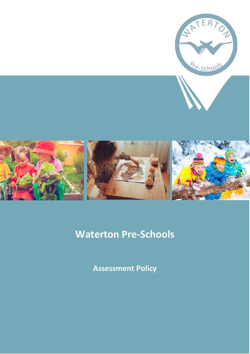

# **Waterton Pre-Schools**

**Assessment Policy**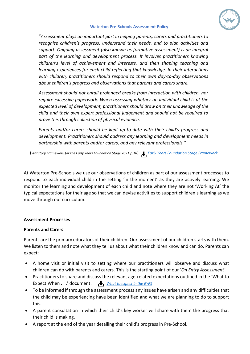

#### **Waterton Pre-Schools Assessment Policy**

"*Assessment plays an important part in helping parents, carers and practitioners to recognise children's progress, understand their needs, and to plan activities and support. Ongoing assessment (also known as formative assessment) is an integral part of the learning and development process. It involves practitioners knowing children's level of achievement and interests, and then shaping teaching and learning experiences for each child reflecting that knowledge. In their interactions with children, practitioners should respond to their own day-to-day observations about children's progress and observations that parents and carers share.* 

*Assessment should not entail prolonged breaks from interaction with children, nor require excessive paperwork. When assessing whether an individual child is at the expected level of development, practitioners should draw on their knowledge of the child and their own expert professional judgement and should not be required to prove this through collection of physical evidence.*

*Parents and/or carers should be kept up-to-date with their child's progress and development. Practitioners should address any learning and development needs in partnership with parents and/or carers, and any relevant professionals."*

(*Statutory Framework for the Early Years Foundation Stage 2021 p.18*) *[Early Years Foundation Stage Framework](https://www.gov.uk/government/publications/early-years-foundation-stage-framework--2)*

At Waterton Pre-Schools we use our observations of children as part of our assessment processes to respond to each individual child in the setting 'in the moment' as they are actively learning. We monitor the learning and development of each child and note where they are not 'Working At' the typical expectations for their age so that we can devise activities to support children's learning as we move through our curriculum.

#### **Assessment Processes**

#### **Parents and Carers**

Parents are the primary educators of their children. Our assessment of our children starts with them. We listen to them and note what they tell us about what their children know and can do. Parents can expect:

- A home visit or initial visit to setting where our practitioners will observe and discuss what children can do with parents and carers. This is the starting point of our '*On Entry Assessment'*.
- Practitioners to share and discuss the relevant age-related expectations outlined in the 'What to Expect When . . .' document. *[What to expect in the EYFS](https://foundationyears.org.uk/wp-content/uploads/2021/09/What-to-expect-in-the-EYFS-complete-FINAL-16.09-compressed.pdf)*
- To be informed if through the assessment process any issues have arisen and any difficulties that the child may be experiencing have been identified and what we are planning to do to support this.
- A parent consultation in which their child's key worker will share with them the progress that their child is making.
- A report at the end of the year detailing their child's progress in Pre-School.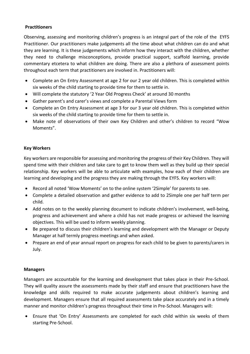### **Practitioners**

Observing, assessing and monitoring children's progress is an integral part of the role of the EYFS Practitioner. Our practitioners make judgements all the time about what children can do and what they are learning. It is these judgements which inform how they interact with the children, whether they need to challenge misconceptions, provide practical support, scaffold learning, provide commentary etcetera to what children are doing. There are also a plethora of assessment points throughout each term that practitioners are involved in. Practitioners will:

- Complete an On Entry Assessment at age 2 for our 2 year old children. This is completed within six weeks of the child starting to provide time for them to settle in.
- Will complete the statutory '2 Year Old Progress Check' at around 30 months
- Gather parent's and carer's views and complete a Parental Views form
- Complete an On Entry Assessment at age 3 for our 3 year old children. This is completed within six weeks of the child starting to provide time for them to settle in.
- Make note of observations of their own Key Children and other's children to record "Wow Moments".

## **Key Workers**

Key workers are responsible for assessing and monitoring the progress of their Key Children. They will spend time with their children and take care to get to know them well as they build up their special relationship. Key workers will be able to articulate with examples, how each of their children are learning and developing and the progress they are making through the EYFS. Key workers will:

- Record all noted 'Wow Moments' on to the online system '2Simple' for parents to see.
- Complete a detailed observation and gather evidence to add to 2Simple one per half term per child.
- Add notes on to the weekly planning document to indicate children's involvement, well-being, progress and achievement and where a child has not made progress or achieved the learning objectives. This will be used to inform weekly planning.
- Be prepared to discuss their children's learning and development with the Manager or Deputy Manager at half termly progress meetings and when asked.
- Prepare an end of year annual report on progress for each child to be given to parents/carers in July.

## **Managers**

Managers are accountable for the learning and development that takes place in their Pre-School. They will quality assure the assessments made by their staff and ensure that practitioners have the knowledge and skills required to make accurate judgements about children's learning and development. Managers ensure that all required assessments take place accurately and in a timely manner and monitor children's progress throughout their time in Pre-School. Managers will:

• Ensure that 'On Entry' Assessments are completed for each child within six weeks of them starting Pre-School.